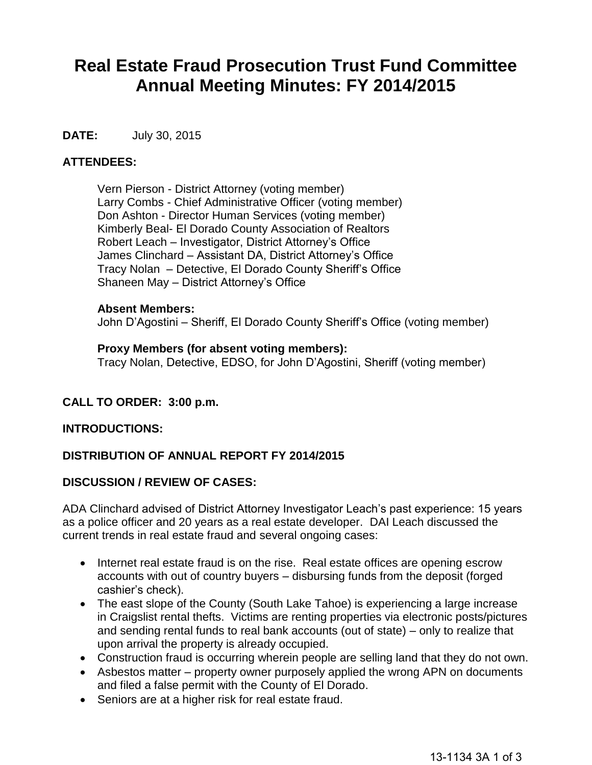# **Real Estate Fraud Prosecution Trust Fund Committee Annual Meeting Minutes: FY 2014/2015**

## **DATE:** July 30, 2015

## **ATTENDEES:**

Vern Pierson - District Attorney (voting member) Larry Combs - Chief Administrative Officer (voting member) Don Ashton - Director Human Services (voting member) Kimberly Beal- El Dorado County Association of Realtors Robert Leach – Investigator, District Attorney's Office James Clinchard – Assistant DA, District Attorney's Office Tracy Nolan – Detective, El Dorado County Sheriff's Office Shaneen May – District Attorney's Office

#### **Absent Members:**

John D'Agostini – Sheriff, El Dorado County Sheriff's Office (voting member)

#### **Proxy Members (for absent voting members):**  Tracy Nolan, Detective, EDSO, for John D'Agostini, Sheriff (voting member)

## **CALL TO ORDER: 3:00 p.m.**

## **INTRODUCTIONS:**

## **DISTRIBUTION OF ANNUAL REPORT FY 2014/2015**

## **DISCUSSION / REVIEW OF CASES:**

ADA Clinchard advised of District Attorney Investigator Leach's past experience: 15 years as a police officer and 20 years as a real estate developer. DAI Leach discussed the current trends in real estate fraud and several ongoing cases:

- Internet real estate fraud is on the rise. Real estate offices are opening escrow accounts with out of country buyers – disbursing funds from the deposit (forged cashier's check).
- The east slope of the County (South Lake Tahoe) is experiencing a large increase in Craigslist rental thefts. Victims are renting properties via electronic posts/pictures and sending rental funds to real bank accounts (out of state) – only to realize that upon arrival the property is already occupied.
- Construction fraud is occurring wherein people are selling land that they do not own.
- Asbestos matter property owner purposely applied the wrong APN on documents and filed a false permit with the County of El Dorado.
- Seniors are at a higher risk for real estate fraud.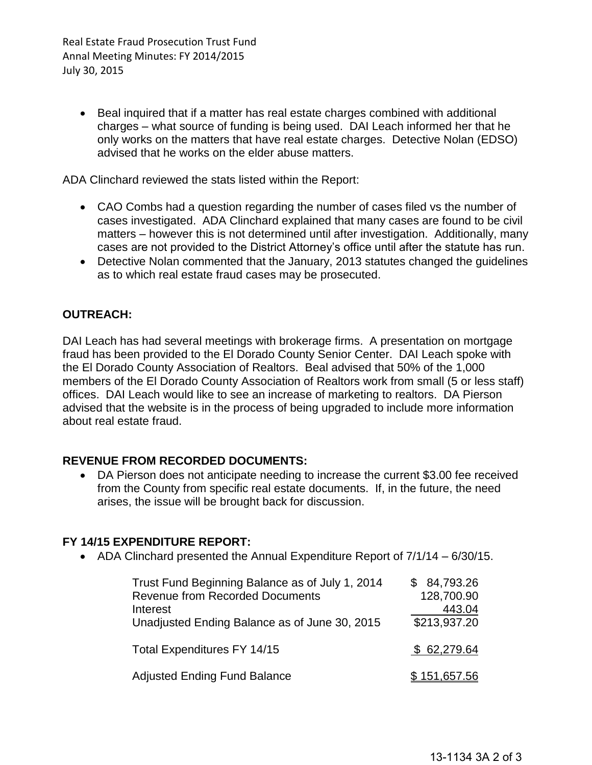Real Estate Fraud Prosecution Trust Fund Annal Meeting Minutes: FY 2014/2015 July 30, 2015

 Beal inquired that if a matter has real estate charges combined with additional charges – what source of funding is being used. DAI Leach informed her that he only works on the matters that have real estate charges. Detective Nolan (EDSO) advised that he works on the elder abuse matters.

ADA Clinchard reviewed the stats listed within the Report:

- CAO Combs had a question regarding the number of cases filed vs the number of cases investigated. ADA Clinchard explained that many cases are found to be civil matters – however this is not determined until after investigation. Additionally, many cases are not provided to the District Attorney's office until after the statute has run.
- Detective Nolan commented that the January, 2013 statutes changed the guidelines as to which real estate fraud cases may be prosecuted.

## **OUTREACH:**

DAI Leach has had several meetings with brokerage firms. A presentation on mortgage fraud has been provided to the El Dorado County Senior Center. DAI Leach spoke with the El Dorado County Association of Realtors. Beal advised that 50% of the 1,000 members of the El Dorado County Association of Realtors work from small (5 or less staff) offices. DAI Leach would like to see an increase of marketing to realtors. DA Pierson advised that the website is in the process of being upgraded to include more information about real estate fraud.

## **REVENUE FROM RECORDED DOCUMENTS:**

 DA Pierson does not anticipate needing to increase the current \$3.00 fee received from the County from specific real estate documents. If, in the future, the need arises, the issue will be brought back for discussion.

#### **FY 14/15 EXPENDITURE REPORT:**

ADA Clinchard presented the Annual Expenditure Report of 7/1/14 – 6/30/15.

| Trust Fund Beginning Balance as of July 1, 2014 | \$ 84,793.26 |
|-------------------------------------------------|--------------|
| <b>Revenue from Recorded Documents</b>          | 128,700.90   |
| Interest                                        | 443.04       |
| Unadjusted Ending Balance as of June 30, 2015   | \$213,937.20 |
| Total Expenditures FY 14/15                     | \$62,279.64  |
| <b>Adjusted Ending Fund Balance</b>             | \$151,657.56 |